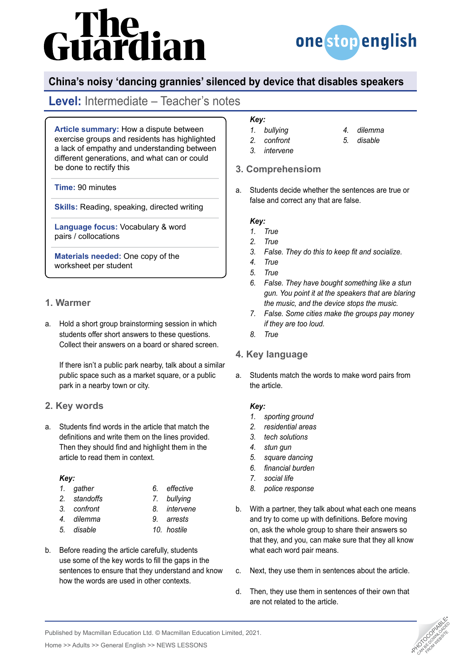# The<br>uardian



# **China's noisy 'dancing grannies' silenced by device that disables speakers**

# **Level:** Intermediate – Teacher's notes

**Article summary:** How a dispute between exercise groups and residents has highlighted a lack of empathy and understanding between different generations, and what can or could be done to rectify this

**Time:** 90 minutes

**Skills:** Reading, speaking, directed writing

**Language focus:** Vocabulary & word pairs / collocations

**Materials needed:** One copy of the worksheet per student

# **1. Warmer**

a. Hold a short group brainstorming session in which students offer short answers to these questions. Collect their answers on a board or shared screen.

If there isn't a public park nearby, talk about a similar public space such as a market square, or a public park in a nearby town or city.

# **2. Key words**

a. Students find words in the article that match the definitions and write them on the lines provided. Then they should find and highlight them in the article to read them in context.

#### *Key:*

- *1. gather*
- *2. standoffs*
- 
- *3. confront 4. dilemma*
- *5. disable*
- 
- b. Before reading the article carefully, students use some of the key words to fill the gaps in the sentences to ensure that they understand and know how the words are used in other contexts.

### *Key:*

- *1. bullying*
- *2. confront*
- *4. dilemma 5. disable*
- 
- *3. intervene*

# **3. Comprehensiom**

a. Students decide whether the sentences are true or false and correct any that are false.

#### *Key:*

- *1. True*
- *2. True*
- *3. False. They do this to keep fit and socialize.*
- *4. True*
- *5. True*
- *6. False. They have bought something like a stun gun. You point it at the speakers that are blaring the music, and the device stops the music.*
- *7. False. Some cities make the groups pay money if they are too loud.*
- *8. True*

# **4. Key language**

a. Students match the words to make word pairs from the article.

#### *Key:*

- *1. sporting ground*
- *2. residential areas*
- *3. tech solutions*
- *4. stun gun*
- *5. square dancing*
- *6. financial burden*
- *7. social life*
- *8. police response*
- b. With a partner, they talk about what each one means and try to come up with definitions. Before moving on, ask the whole group to share their answers so that they, and you, can make sure that they all know what each word pair means.
- c. Next, they use them in sentences about the article.
- d. Then, they use them in sentences of their own that are not related to the article.



Published by Macmillan Education Ltd. © Macmillan Education Limited, 2021.

Home >> Adults >> General English >> NEWS LESSONS

- *6. effective 7. bullying*
- 
- -
	-
- - *10. hostile*
		-

*8. intervene 9. arrests*